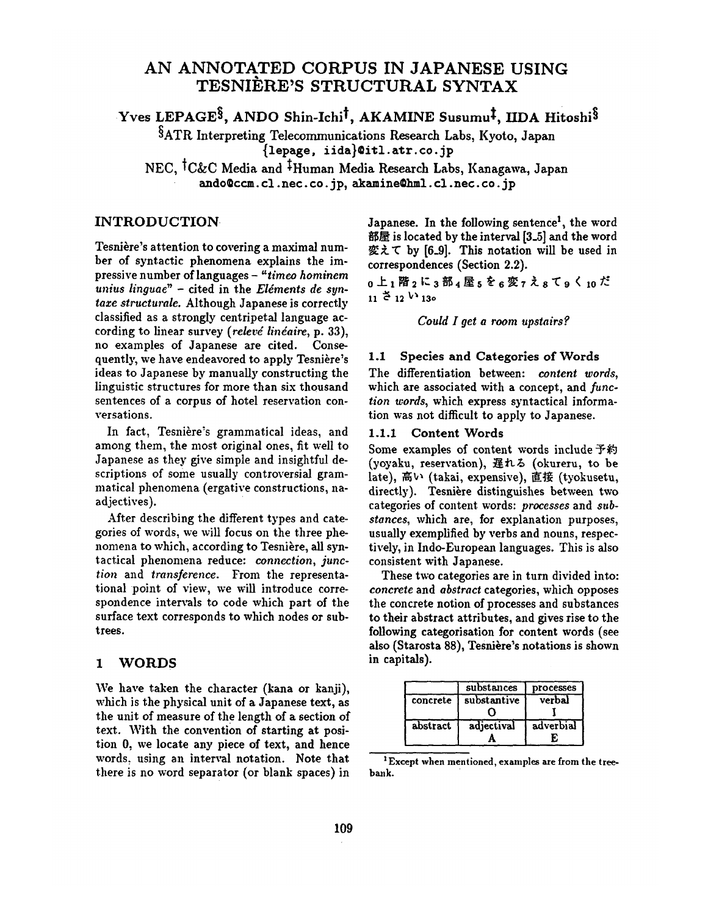## **AN ANNOTATED CORPUS IN JAPANESE USING TESNI] RE'S STRUCTURAL SYNTAX**

Yves LEPAGE<sup>§</sup>, ANDO Shin-Ichi<sup>†</sup>, AKAMINE Susumu<sup>‡</sup>, IIDA Hitoshi<sup>§</sup>

§ATR Interpreting Telecommunications Research Labs, Kyoto, Japan {lepage, iida}@i~l, air. co.jp

NEC, <sup>†</sup>C&C Media and <sup>‡</sup>Human Media Research Labs, Kanagawa, Japan ando@ccm.cl.nec.co.jp, akamine@hml.cl.nec.co.jp

## INTRODUCTION

Tesnière's attention to covering a maximal number of syntactic phenomena explains the impressive number of languages - *"timco hominem*  unius linguae" - cited in the *Eléments de syntaxe structurale.* Although Japanese is correctly classified as a strongly centripetal language according to linear survey (relevé linéaire, p. 33), no examples of Japanese are cited. Consequently, we have endeavored to apply Tesnière's ideas to Japanese by manually constructing the linguistic structures for more than six thousand sentences of a corpus of hotel reservation conversations.

In fact, Tesnière's grammatical ideas, and among them, the most original ones, fit well to Japanese as they give simple and insightful descriptions of some usually controversial grammatical phenomena (ergative constructions, naadjectives).

After describing the different types and categories of words, we will focus on the three phenomena to which, according to Tesnière, all syntactical phenomena reduce: *connection, junction* and *transference.* From the representational point of view, we will introduce correspondence intervals to code which part of the surface text corresponds to which nodes or subtrees.

### 1 WORDS

We have taken the character (kana or kanji), which is the physical unit of a Japanese text, as the unit of measure of the length of a section of text. With the convention of starting at position O, we locate any piece of text, and hence words, using an interval notation. Note that there is no word separator (or blank spaces) in

Japanese. In the following sentence<sup>1</sup>, the word 部屋 is located by the interval  $[3_5]$  and the word 変えて by [6.9]. This notation will be used in correspondences (Section 2.2).

0上1階2に3部4屋5を6変7え8て9く10だ  $11 \overset{1}{\leftarrow} 12 \overset{1}{\leftarrow} 130$ 

*Could I get a room upstairs ¢.* 

### 1.1 Species and Categories of Words

The differentiation between: *content words,*  which are associated with a concept, and *function words,* which express syntactical information was not difficult to apply to Japanese.

## 1.1.1 Content Words

Some examples of content words include  $\frac{1}{2}$   $\frac{1}{2}$ (yoyaku, reservation),  $#h\delta$  (okureru, to be late), 高い (takai, expensive), 直接 (tyokusetu, directly). Tesnière distinguishes between two categories of content words: *processes* and *substances,* which are, for explanation purposes, usually exemplified by verbs and nouns, respectively, in Indo-European languages. This is also consistent with Japanese.

These two categories are in turn divided into: *concrete* and *abstract* categories, which opposes the concrete notion of processes and substances to their abstract attributes, and gives rise to the following categorisation for content words (see also (Starosta 88), Tesnière's notations is shown in capitals).

|          | substances  | processes       |
|----------|-------------|-----------------|
| concrete | substantive | verbal          |
| abstract | adjectival  | adverbial<br>F. |

<sup>&</sup>lt;sup>1</sup> Except when mentioned, examples are from the treebank.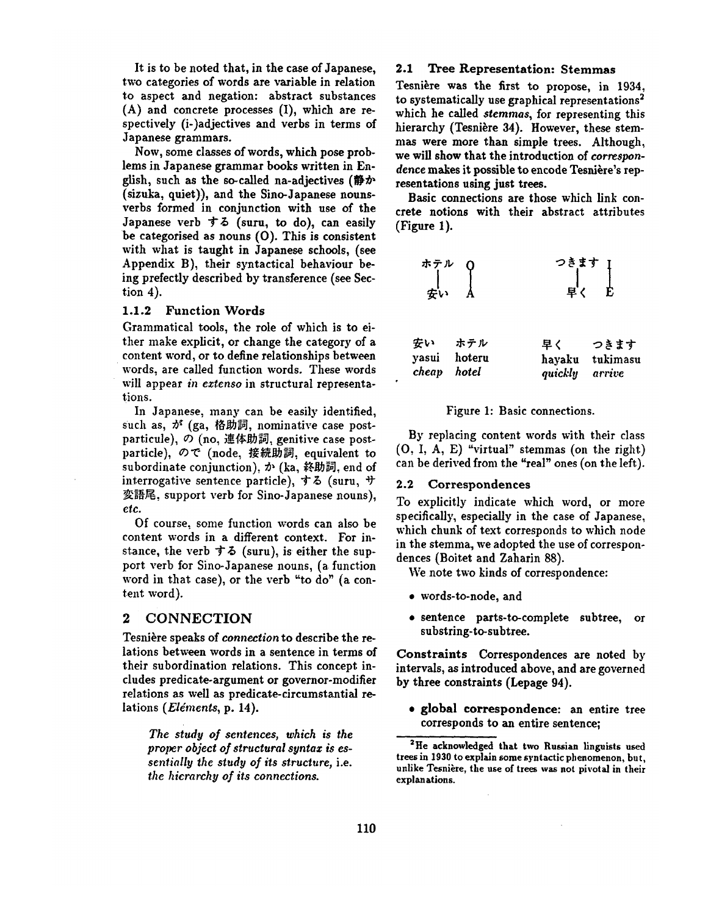It is to be noted that, in the case of Japanese, two categories of words are variable in relation to aspect and negation: abstract substances (A) and concrete processes (I), which are respectively (i-)adjectives and verbs in terms of Japanese grammars.

Now, some classes of words, which pose problems in Japanese grammar books written in English, such as the so-called na-adjectives ( $\#$  $\mathcal{D}$ ) (sizuka, quiet)), and the Sino-Japanese nounsverbs formed in conjunction with use of the Japanese verb  $\overline{5}$   $\overline{6}$  (suru, to do), can easily be categorised as nouns (O). This is consistent with what is taught in Japanese schools, (see Appendix B), their syntactical behaviour being prefectly described by transference (see Section 4).

#### 1.1.2 Function **Words**

Grammatical tools, the role of which is to either make explicit, or change the category of a content word, or to define relationships between words, are called function words. These words will appear *in eztenso* in structural representations.

In Japanese, many can be easily identified, such as,  $\phi^*$  (ga, 格助詞, nominative case postparticule), の (no, 連体助詞, genitive case postparticle), ので (node, 接続助詞, equivalent to subordinate conjunction),  $\dot{\mathcal{D}}$  (ka, 終助詞, end of interrogative sentence particle),  $\dot{\tau}$   $\delta$  (suru,  $\dot{\tau}$ ) 変語尾, support verb for Sino-Japanese nouns), etc.

Of course, some function words can also be content words in a different context. For instance, the verb  $\dot{\tau}$   $\ddot{\phi}$  (suru), is either the support verb for Sino-Japanese nouns, (a function word in that case), or the verb "to do" (a content word).

### *2 CONNECTION*

Tesnière speaks of *connection* to describe the relations between words in a sentence in terms of their subordination relations. This concept includes predicate-argument or governor-modifier relations as well as predicate-circumstantial relations *(Eléments, p. 14).* 

*The study of sentences, which is the proper object of structural syntaz is essentially the study of its structure,* i.e. *the hierarchy of its connections.* 

#### 2.1 Tree Representation: Stemmas

Tesnière was the first to propose, in 1934, to systematically use graphical representations<sup>2</sup> which he called *sternmas,* for representing this hierarchy (Tesnière 34). However, these stemmas were more than simple trees. Although, we will show that the introduction of *correspon*dence makes it possible to encode Tesnière's representations using just trees.

Basic connections are those which link concrete notions with their abstract attributes (Figure 1).

$$
\begin{array}{ccc}\n\star & \stackrel{\rightarrow}{\tau} & \downarrow & \downarrow & \downarrow & \downarrow \\
\downarrow & & \downarrow & & \downarrow & \downarrow \\
\text{F} \downarrow & & \downarrow & & \downarrow & \downarrow \\
\end{array}
$$

|             | 安い ホテル       | 早く             | つきます            |
|-------------|--------------|----------------|-----------------|
|             | yasui hoteru |                | hayaku tukimasu |
| cheap hotel |              | quickly arrive |                 |

#### Figure 1: Basic connections.

By replacing content words with their class (O, I, A, E) "virtual" stemmas (on the right) can be derived from the "real" ones (on the left).

#### 2.2 Correspondences

To explicitly indicate which word, or more specifically, especially in the case of Japanese, which chunk of text corresponds to which node in the stemma, we adopted the use of correspondences (Boitet and Zaharin 88).

We note two kinds of correspondence:

- words-to-node, and
- sentence parts-to-complete subtree, or substring-to-subtree.

Constraints Correspondences are noted by intervals, as introduced above, and are governed by three constraints (Lepage 94).

• global correspondence: an entire tree corresponds to an entire sentence;

<sup>&</sup>lt;sup>2</sup>He acknowledged that two Russian linguists used trees in 1930 to explain some syntactic phenomenon, but, unlike Tesnière, the use of trees was not pivotal in their explanations.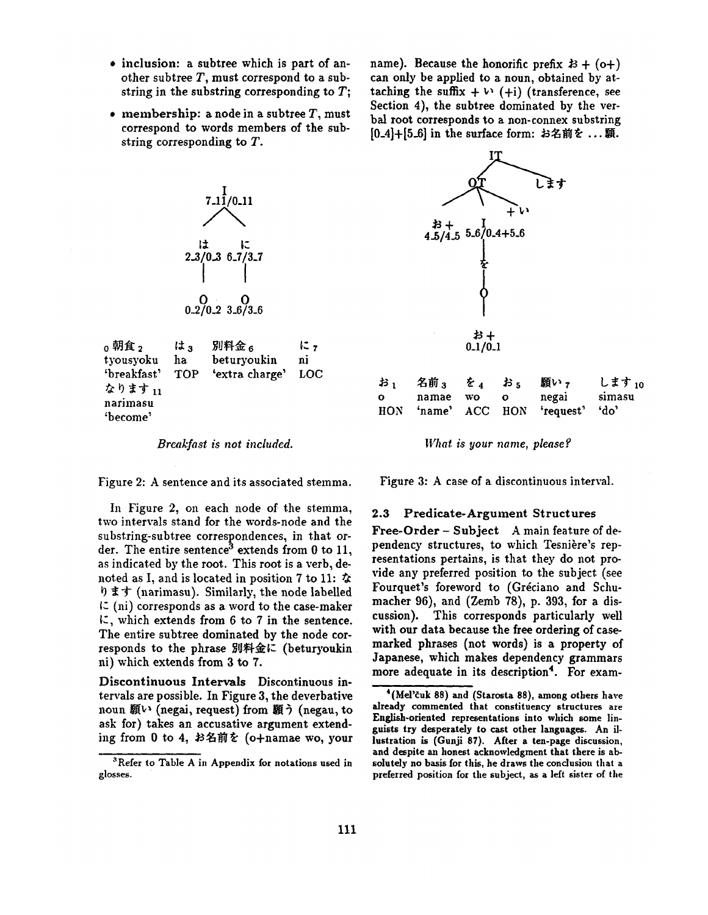- inclusion: a subtree which is part of another subtree  $T$ , must correspond to a substring in the substring corresponding to  $T$ ;
- membership: a node in a subtree  $T$ , must correspond to words members of the substring corresponding to T.

name). Because the honorific prefix  $\mathcal{B} + (o+)$ can only be applied to a noun, obtained by attaching the suffix  $+ \vee (+i)$  *(transference, see* Section 4), the subtree dominated by the verbal root corresponds to a non-connex substring  $[0.4] + [5.6]$  in the surface form: お名前を ...願.



narimasu :become'

*Breakfast is not included.* 

Figure 2: A sentence and its associated stemma.

In Figure 2, on each node of the stemma, two intervals stand for the words-node and the substring-subtree correspondences, in that order. The entire sentence<sup>3</sup> extends from 0 to 11, as indicated by the root. This root is a verb, denoted as I, and is located in position 7 to 11:  $\dot{\alpha}$  $\mathfrak{h}$   $\sharp$   $\uparrow$  (narimasu). Similarly, the node labelled  $\zeta$  (ni) corresponds as a word to the case-maker  $\mathcal{K}$ , which extends from 6 to 7 in the sentence. The entire subtree dominated by the node corresponds to the phrase 別料金に (beturyoukin hi) which extends from 3 to 7.

Discontinuous Intervals Discontinuous intervals are possible. In Figure 3, the deverbative noun 願い (negai, request) from 願う (negau, to ask for) takes an accusative argument extending from 0 to 4, お名前を (o+namae wo, your



*What is your name, please?* 

Figure 3: A case of a discontinuous interval.

#### 2.3 Predicate-Argument Structures

Free-Order- Subject A main feature of dependency structures, to which Tesnière's representations pertains, is that they do not provide any preferred position to the subject (see Fourquet's foreword to (Gréciano and Schumacher 96), and (Zemb 78), p. 393, for a discussion). This corresponds particularly well with our data because the free ordering of casemarked phrases (not words) is a property of Japanese, which makes dependency grammars more adequate in its description<sup>4</sup>. For exam-

<sup>&</sup>lt;sup>3</sup>Refer to Table A in Appendix for notations used in glosses.

 $4$ (Mel'čuk 88) and (Starosta 88), among others have already commented that constituency structures are English-oriented representations into which some linguists try desperately to cast other languages. An illustration is (Gunji 87). After a ten-page discussion, and despite an honest acknowledgment that there is absolutely no basis for this, he draws the conclusion that a preferred position for the subject, as a left sister of the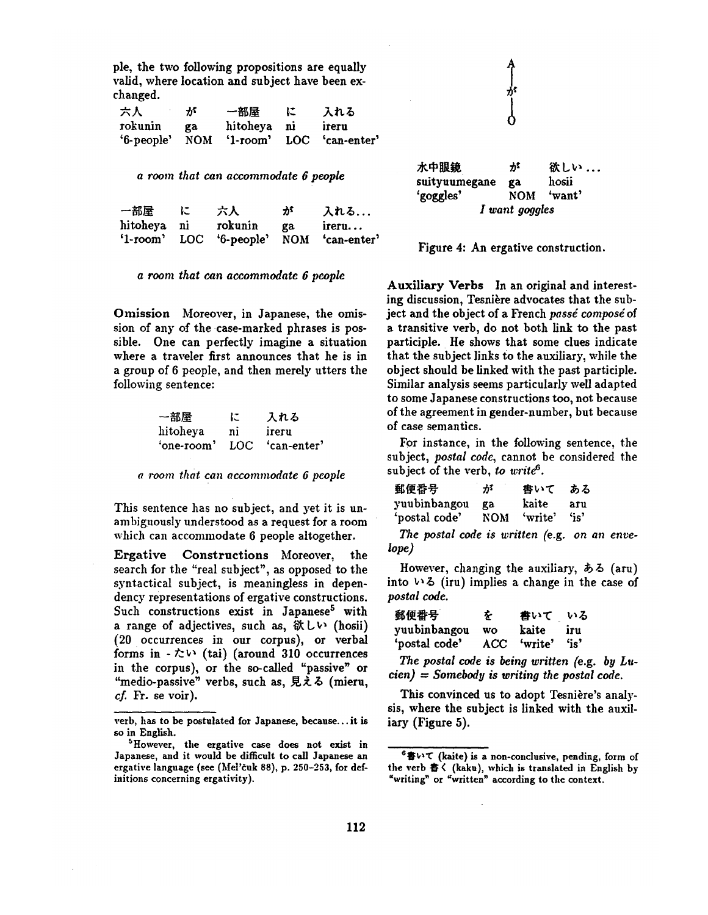pie, the two following propositions are equally valid, where location and subject have been exchanged.

| 六人         | が  | 一部屋         | エ | 入れる                          |
|------------|----|-------------|---|------------------------------|
| rokunin    | ga | hitoheya ni |   | ireru                        |
| '6-people' |    |             |   | NOM '1-room' LOC 'can-enter' |

*a room that can accommodate 6 people* 

| 一部屋         | に | 六人                                      | ゕ゚ | 入れる   |
|-------------|---|-----------------------------------------|----|-------|
| hitoheya ni |   | rokunin                                 | ga | ireru |
|             |   | '1-room' LOC '6-people' NOM 'can-enter' |    |       |

*a room that can accommodate 6 people* 

Omission Moreover, in Japanese, the omission of any of the case-marked phrases is possible. One can perfectly imagine a situation where a traveler first announces that he is in a group of 6 people, and then merely utters the following sentence:

| 一部屋        | に  | 入れる             |
|------------|----|-----------------|
| hitoheya   | ni | ireru           |
| 'one-room' |    | LOC 'can-enter' |

*a room that can accommodate 6 people* 

This sentence has no subject, and yet it is unambiguously understood as a request for a room which can accommodate 6 people altogether.

Ergative Constructions Moreover, the search for the "real subject", as opposed to the syntactical subject, is meaningless in dependency representations of ergative constructions. Such constructions exist in Japanese<sup>5</sup> with a range of adjectives, such as,  $\&$  L $\vee$  (hosii) (20 occurrences in our corpus), or verbal forms in  $-\hbar$  (tai) (around 310 occurrences in the corpus), or the so-called "passive" or "medio-passive" verbs, such as, 見える (mieru,  $cf.$  Fr. se voir).

水中眼鏡 が 欲しい ... snityuumegane ga hosii 'goggles' NOM 'want' *I want goggles* 

Figure 4: An ergative construction.

Auxiliary Verbs In an original and interesting discussion, Tesnière advocates that the subject and the object of a French *passé composé* of a transitive verb, do not both link to the past participle. He shows that some clues indicate that the subject links to the auxiliary, while the object should be linked with the past participle. Similar analysis seems particularly well adapted to some Japanese constructions too, not because of the agreement in gender-number, but because of case semantics.

For instance, in the following sentence, the subject, *postal code,* cannot be considered the subject of the verb, to write<sup>6</sup>.

| 郵便番号          | が   | 書いて     | ある  |
|---------------|-----|---------|-----|
| yuubinbangou  | ga  | kaite   | aru |
| 'postal code' | NOM | 'write' | "   |

*The postal code is written (e.g. on an envelope)* 

However, changing the auxiliary,  $\delta \delta$  (aru) into  $\vee$  3 (iru) implies a change in the case of *postal code.* 

| 郵便番号          | を  | 書いて         | いる      |
|---------------|----|-------------|---------|
| yuubinbangou  | wo | kaite       | iru     |
| 'postal code' |    | ACC 'write' | $"$ is' |

*The postal code is being written (e.g. by Lucien) - Somebody is writing the postal code.* 

This convinced us to adopt Tesnière's analysis, where the subject is linked with the auxiliary (Figure 5).

verb, has to be postulated for Japanese, because.., it is so in English.

<sup>5</sup>However, the ergative case does not exist in Japanese, and it would be difficult to call Japanese an ergative language (see (Mel'euk 88), p. 250-253, for definitions concerning ergativity).

 $6$  書いて (kaite) is a non-conclusive, pending, form of the verb 書く (kaku), which is translated in English by "writing" or "written" according to the context.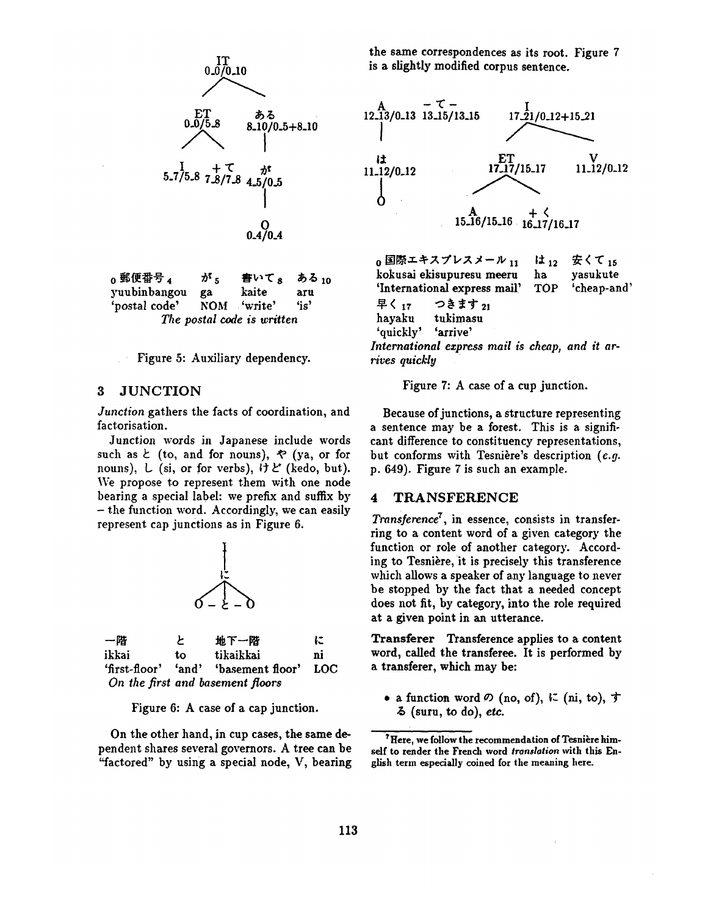

| o 郵便番号 ∡      | が。 | 書いて。 ある 10                 |      |
|---------------|----|----------------------------|------|
| yuubinbangou  | ga | kaite                      | aru  |
| 'postal code' |    | NOM 'write'                | 'is' |
|               |    | The postal code is written |      |

Figure 5: Auxiliary dependency.

#### 3 JUNCTION

*Junction* gathers the facts of coordination, and factorisation.

Junction words in Japanese include words such as  $\zeta$  (to, and for nouns),  $\zeta$  (ya, or for nouns),  $\iota$  (si, or for verbs),  $\iota \nmid \iota'$  (kedo, but). We propose to represent them with one node bearing a special label: we prefix and suffix by - the function word. Accordingly, we can easily represent cap junctions as in Figure 6.



| 一陪    | F. | 地下一階                                     | に  |
|-------|----|------------------------------------------|----|
| ikkai | to | tikaikkai                                | ni |
|       |    | 'first-floor' 'and' 'basement floor' LOC |    |
|       |    | On the first and basement floors         |    |

Figure 6: A case of a cap junction.

On the other hand, in cup cases, the same dependent shares several governors. A tree can be "factored" by using a special node, V, bearing the same correspondences as its root. Figure 7 is a slightly modified corpus sentence.



 $_0$  国際エキスプレスメール 11 kokusai ekisupuresu meeru 'International express mail' TOP 早く 17 つきます 21 hayaku tukimasu 'quickly' 'arrive' *International express mail is cheap, and it arrives quickly*  は<sub>12</sub> 安くて<sub>15</sub> ha yasukute 'cheap-and'

Figure 7: A case of a cup junction.

Because of junctions, a structure representing a sentence may be a forest. This is a significant difference to constituency representations, but conforms with Tesnière's description (e.g. p. 649). Figure 7 is such an example.

### 4 TRANSFERENCE

*Transference*<sup>7</sup>, in essence, consists in transferring to a content word of a given category the function or role of another category. According to Tesnière, it is precisely this transference which allows a speaker of any language to never be stopped by the fact that a needed concept does not fit, by category, into the role required at a given point in an utterance.

Transferer Transference applies to a content word, called the transferee. It is performed by a transferer, which may be:

• a function word  $\varnothing$  (no, of),  $\varnothing$  (ni, to),  $\uparrow$ (sum, to do), *etc.* 

<sup>&</sup>lt;sup>7</sup> Here, we follow the recommendation of Tesnière himself to render the French word *translation* with this English term especially coined for the meaning here.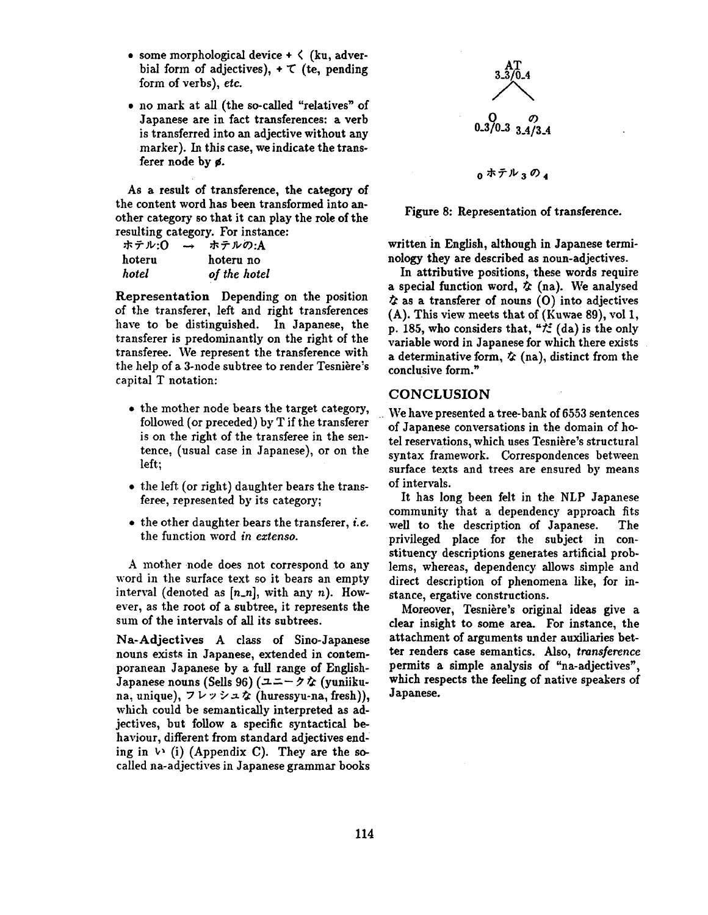- some morphological device  $\div \langle$  (ku, adverbial form of adjectives),  $+ \tau$  (te, pending form of verbs), *etc.*
- no mark at all (the so-called "relatives" of Japanese are in fact transferences: a verb is transferred into an adjective without any marker). In this case, we indicate the transferer node by ¢.

As a result of transference, the category of the content word has been transformed into another category so that it can play the role of the resulting category. For instance:

| ホテル:0  | $\rightarrow$ | ホテルの:A       |
|--------|---------------|--------------|
| hoteru |               | hoteru no    |
| hotel  |               | of the hotel |

Representation Depending on the position of the transferer, left and right transferences have to be distinguished. In Japanese, the transferer is predominantly on the right of the transferee. We represent the transference with the help of a 3-node subtree to render Tesnière's capital T notation:

- the mother node bears the target category, followed (or preceded) by T if the transferer is on the right of the transferee in the sentence, (usual case in Japanese), or on the left.;
- the left (or right) daughter bears the transferee, represented by its category;
- $\bullet$  the other daughter bears the transferer, *i.e.* the function word in *extenso.*

A mother node does not correspond to any word in the surface text so it bears an empty interval (denoted as  $[n_n]$ , with any n). However, as the root of a subtree, it represents the sum of the intervals of all its subtrees.

Na-Adjectives A class of Sino-Japanese nouns exists in Japanese, extended in contemporanean Japanese by a full range of English-Japanese nouns (Sells 96)  $(1 - \gamma \cdot \hat{c})$  (yuniikuna, unique),  $7 \nu \nu \nu \Delta \phi$  (huressyu-na, fresh)), which could be semantically interpreted as adjectives, but follow a specific syntactical behaviour, different from standard adjectives ending in  $\vee$  (i) (Appendix C). They are the socalled na-adjectives in Japanese grammar books





written in English, although in Japanese terminology they are described as noun-adjectives.

In attributive positions, these words require a special function word,  $\dot{\mathcal{L}}$  (na). We analysed  $\dot{\mathbf{z}}$  as a transferer of nouns (O) into adjectives (A). This view meets that of (Kuwae 89), vol 1, p. 185, who considers that, " $\sharp$  (da) is the only variable word in Japanese for which there exists a determinative form,  $\dot{\mathbf{x}}$  (na), distinct from the conclusive form."

## **CONCLUSION**

We have presented a tree-bank of 6553 sentences of Japanese conversations in the domain of hotel reservations, which uses Tesnière's structural syntax framework. Correspondences between surface texts and trees are ensured by means of intervals.

It has long been felt in the NLP Japanese community that a dependency approach fits well to the description of Japanese. The privileged place for the subject in constituency descriptions generates artificial problems, whereas, dependency allows simple and direct description of phenomena like, for instance, ergative constructions.

Moreover, Tesnière's original ideas give a clear insight to some area. For instance, the attachment of arguments under auxiliaries better renders case semantics. Also, *transference*  permits a simple analysis of "na-adjectives", which respects the feeling of native speakers of Japanese.